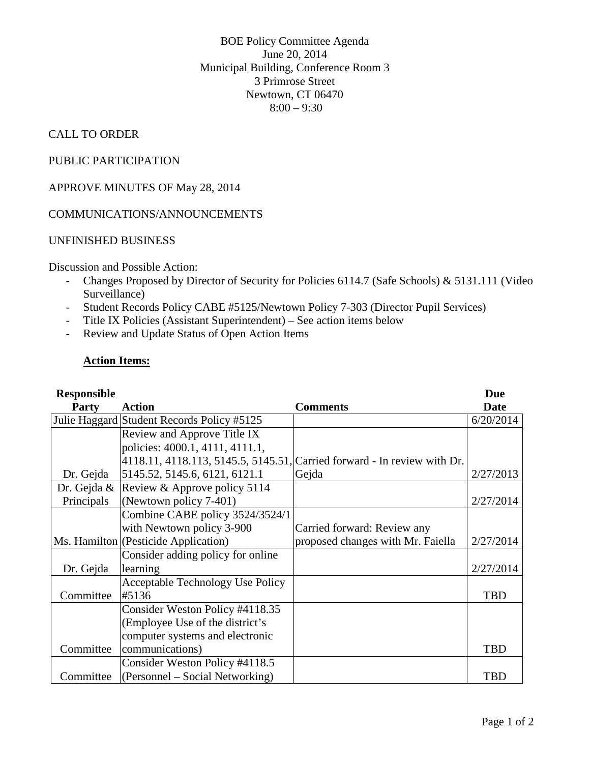BOE Policy Committee Agenda June 20, 2014 Municipal Building, Conference Room 3 3 Primrose Street Newtown, CT 06470  $8:00 - 9:30$ 

# CALL TO ORDER

## PUBLIC PARTICIPATION

# APPROVE MINUTES OF May 28, 2014

### COMMUNICATIONS/ANNOUNCEMENTS

### UNFINISHED BUSINESS

Discussion and Possible Action:

- Changes Proposed by Director of Security for Policies 6114.7 (Safe Schools) & 5131.111 (Video Surveillance)
- Student Records Policy CABE #5125/Newtown Policy 7-303 (Director Pupil Services)
- Title IX Policies (Assistant Superintendent) See action items below
- Review and Update Status of Open Action Items

#### **Action Items:**

| <b>Responsible</b> |                                            |                                                                          | <b>Due</b> |
|--------------------|--------------------------------------------|--------------------------------------------------------------------------|------------|
| <b>Party</b>       | <b>Action</b>                              | <b>Comments</b>                                                          | Date       |
|                    | Julie Haggard Student Records Policy #5125 |                                                                          | 6/20/2014  |
|                    | Review and Approve Title IX                |                                                                          |            |
|                    | policies: 4000.1, 4111, 4111.1,            |                                                                          |            |
|                    |                                            | 4118.11, 4118.113, 5145.5, 5145.51, Carried forward - In review with Dr. |            |
| Dr. Gejda          | 5145.52, 5145.6, 6121, 6121.1              | Gejda                                                                    | 2/27/2013  |
| Dr. Gejda $\&$     | Review & Approve policy 5114               |                                                                          |            |
| Principals         | (Newtown policy 7-401)                     |                                                                          | 2/27/2014  |
|                    | Combine CABE policy 3524/3524/1            |                                                                          |            |
|                    | with Newtown policy 3-900                  | Carried forward: Review any                                              |            |
|                    | Ms. Hamilton (Pesticide Application)       | proposed changes with Mr. Faiella                                        | 2/27/2014  |
|                    | Consider adding policy for online          |                                                                          |            |
| Dr. Gejda          | learning                                   |                                                                          | 2/27/2014  |
|                    | <b>Acceptable Technology Use Policy</b>    |                                                                          |            |
| Committee          | #5136                                      |                                                                          | <b>TBD</b> |
|                    | Consider Weston Policy #4118.35            |                                                                          |            |
|                    | (Employee Use of the district's            |                                                                          |            |
|                    | computer systems and electronic            |                                                                          |            |
| Committee          | communications)                            |                                                                          | <b>TBD</b> |
|                    | Consider Weston Policy #4118.5             |                                                                          |            |
| Committee          | (Personnel – Social Networking)            |                                                                          | <b>TBD</b> |